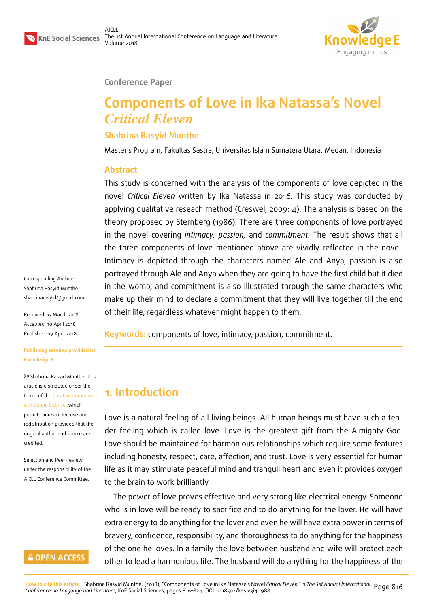

#### **Conference Paper**

# **Components of Love in Ika Natassa's Novel** *Critical Eleven*

### **Shabrina Rasyid Munthe**

Master's Program, Fakultas Sastra, Universitas Islam Sumatera Utara, Medan, Indonesia

#### **Abstract**

This study is concerned with the analysis of the components of love depicted in the novel *Critical Eleven* written by Ika Natassa in 2016*.* This study was conducted by applying qualitative reseach method (Creswel, 2009: 4). The analysis is based on the theory proposed by Sternberg (1986). There are three components of love portrayed in the novel covering *intimacy, passion,* and *commitment*. The result shows that all the three components of love mentioned above are vividly reflected in the novel. Intimacy is depicted through the characters named Ale and Anya, passion is also portrayed through Ale and Anya when they are going to have the first child but it died in the womb, and commitment is also illustrated through the same characters who make up their mind to declare a commitment that they will live together till the end of their life, regardless whatever might happen to them.

**Keywords:** components of love, intimacy, passion, commitment.

## **1. Introduction**

Love is a natural feeling of all living beings. All human beings must have such a tender feeling which is called love. Love is the greatest gift from the Almighty God. Love should be maintained for harmonious relationships which require some features including honesty, respect, care, affection, and trust. Love is very essential for human life as it may stimulate peaceful mind and tranquil heart and even it provides oxygen to the brain to work brilliantly.

The power of love proves effective and very strong like electrical energy. Someone who is in love will be ready to sacrifice and to do anything for the lover. He will have extra energy to do anything for the lover and even he will have extra power in terms of bravery, confidence, responsibility, and thoroughness to do anything for the happiness of the one he loves. In a family the love between husband and wife will protect each other to lead a harmonious life. The husband will do anything for the happiness of the

Corresponding Author: Shabrina Rasyid Munthe shabrinarasyid@gmail.com

Received: 13 March 2018 Accepted: 10 April 2018 [Published: 19 April 2018](mailto:shabrinarasyid@gmail.com)

#### **Publishing services provided by Knowledge E**

Shabrina Rasyid Munthe. This article is distributed under the terms of the Creative Commons Attribution License, which permits unrestricted use and redistribution provided that the original auth[or and source are](https://creativecommons.org/licenses/by/4.0/) [credited.](https://creativecommons.org/licenses/by/4.0/)

Selection and Peer-review under the responsibility of the AICLL Conference Committee.

#### **GOPEN ACCESS**

<mark>How to cite this article</mark>: Shabrina Rasyid Munthe, (2018), "Components of Love in Ika Natassa's Novel *Critical Eleven"* in *The 1st Annual International* Page 816<br>*Conference on Language and Literature,* KnE Social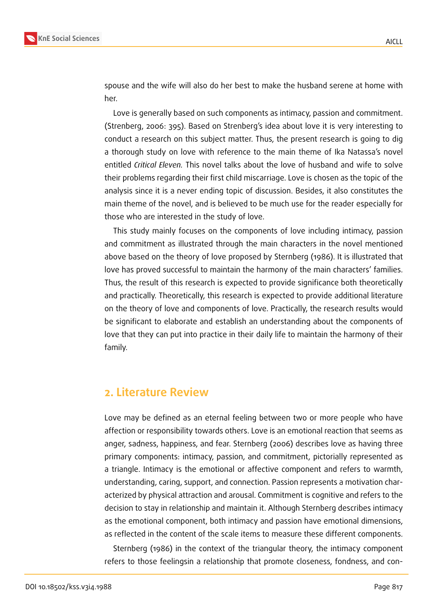

spouse and the wife will also do her best to make the husband serene at home with her.

Love is generally based on such components as intimacy, passion and commitment. (Strenberg, 2006: 395). Based on Strenberg's idea about love it is very interesting to conduct a research on this subject matter. Thus, the present research is going to dig a thorough study on love with reference to the main theme of Ika Natassa's novel entitled *Critical Eleven.* This novel talks about the love of husband and wife to solve their problems regarding their first child miscarriage. Love is chosen as the topic of the analysis since it is a never ending topic of discussion. Besides, it also constitutes the main theme of the novel, and is believed to be much use for the reader especially for those who are interested in the study of love.

This study mainly focuses on the components of love including intimacy, passion and commitment as illustrated through the main characters in the novel mentioned above based on the theory of love proposed by Sternberg (1986). It is illustrated that love has proved successful to maintain the harmony of the main characters' families. Thus, the result of this research is expected to provide significance both theoretically and practically. Theoretically, this research is expected to provide additional literature on the theory of love and components of love. Practically, the research results would be significant to elaborate and establish an understanding about the components of love that they can put into practice in their daily life to maintain the harmony of their family.

### **2. Literature Review**

Love may be defined as an eternal feeling between two or more people who have affection or responsibility towards others. Love is an emotional reaction that seems as anger, sadness, happiness, and fear. Sternberg (2006) describes love as having three primary components: intimacy, passion, and commitment, pictorially represented as a triangle. Intimacy is the emotional or affective component and refers to warmth, understanding, caring, support, and connection. Passion represents a motivation characterized by physical attraction and arousal. Commitment is cognitive and refers to the decision to stay in relationship and maintain it. Although Sternberg describes intimacy as the emotional component, both intimacy and passion have emotional dimensions, as reflected in the content of the scale items to measure these different components.

Sternberg (1986) in the context of the triangular theory, the intimacy component refers to those feelingsin a relationship that promote closeness, fondness, and con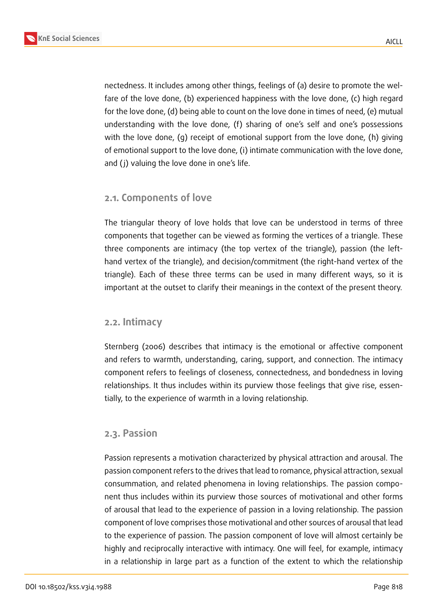nectedness. It includes among other things, feelings of (a) desire to promote the welfare of the love done, (b) experienced happiness with the love done, (c) high regard for the love done, (d) being able to count on the love done in times of need, (e) mutual understanding with the love done, (f) sharing of one's self and one's possessions with the love done, (g) receipt of emotional support from the love done, (h) giving of emotional support to the love done, (i) intimate communication with the love done, and (j) valuing the love done in one's life.

### **2.1. Components of love**

The triangular theory of love holds that love can be understood in terms of three components that together can be viewed as forming the vertices of a triangle. These three components are intimacy (the top vertex of the triangle), passion (the lefthand vertex of the triangle), and decision/commitment (the right-hand vertex of the triangle). Each of these three terms can be used in many different ways, so it is important at the outset to clarify their meanings in the context of the present theory.

#### **2.2. Intimacy**

Sternberg (2006) describes that intimacy is the emotional or affective component and refers to warmth, understanding, caring, support, and connection. The intimacy component refers to feelings of closeness, connectedness, and bondedness in loving relationships. It thus includes within its purview those feelings that give rise, essentially, to the experience of warmth in a loving relationship.

#### **2.3. Passion**

Passion represents a motivation characterized by physical attraction and arousal. The passion component refers to the drives that lead to romance, physical attraction, sexual consummation, and related phenomena in loving relationships. The passion component thus includes within its purview those sources of motivational and other forms of arousal that lead to the experience of passion in a loving relationship. The passion component of love comprises those motivational and other sources of arousal that lead to the experience of passion. The passion component of love will almost certainly be highly and reciprocally interactive with intimacy. One will feel, for example, intimacy in a relationship in large part as a function of the extent to which the relationship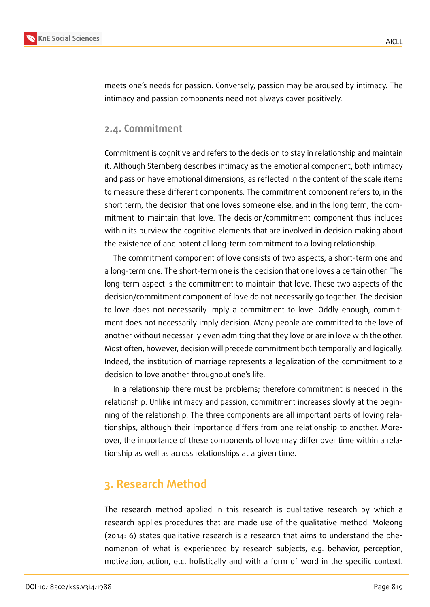

meets one's needs for passion. Conversely, passion may be aroused by intimacy. The intimacy and passion components need not always cover positively.

#### **2.4. Commitment**

Commitment is cognitive and refers to the decision to stay in relationship and maintain it. Although Sternberg describes intimacy as the emotional component, both intimacy and passion have emotional dimensions, as reflected in the content of the scale items to measure these different components. The commitment component refers to, in the short term, the decision that one loves someone else, and in the long term, the commitment to maintain that love. The decision/commitment component thus includes within its purview the cognitive elements that are involved in decision making about the existence of and potential long-term commitment to a loving relationship.

The commitment component of love consists of two aspects, a short-term one and a long-term one. The short-term one is the decision that one loves a certain other. The long-term aspect is the commitment to maintain that love. These two aspects of the decision/commitment component of love do not necessarily go together. The decision to love does not necessarily imply a commitment to love. Oddly enough, commitment does not necessarily imply decision. Many people are committed to the love of another without necessarily even admitting that they love or are in love with the other. Most often, however, decision will precede commitment both temporally and logically. Indeed, the institution of marriage represents a legalization of the commitment to a decision to love another throughout one's life.

In a relationship there must be problems; therefore commitment is needed in the relationship. Unlike intimacy and passion, commitment increases slowly at the beginning of the relationship. The three components are all important parts of loving relationships, although their importance differs from one relationship to another. Moreover, the importance of these components of love may differ over time within a relationship as well as across relationships at a given time.

## **3. Research Method**

The research method applied in this research is qualitative research by which a research applies procedures that are made use of the qualitative method. Moleong (2014: 6) states qualitative research is a research that aims to understand the phenomenon of what is experienced by research subjects, e.g. behavior, perception, motivation, action, etc. holistically and with a form of word in the specific context.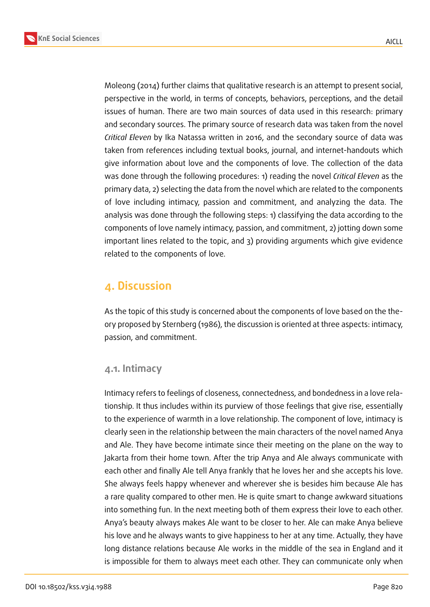**KnE Social Sciences**



Moleong (2014) further claims that qualitative research is an attempt to present social, perspective in the world, in terms of concepts, behaviors, perceptions, and the detail issues of human. There are two main sources of data used in this research: primary and secondary sources. The primary source of research data was taken from the novel *Critical Eleven* by Ika Natassa written in 2016, and the secondary source of data was taken from references including textual books, journal, and internet-handouts which give information about love and the components of love. The collection of the data was done through the following procedures: 1) reading the novel *Critical Eleven* as the primary data, 2) selecting the data from the novel which are related to the components of love including intimacy, passion and commitment, and analyzing the data. The analysis was done through the following steps: 1) classifying the data according to the components of love namely intimacy, passion, and commitment, 2) jotting down some important lines related to the topic, and 3) providing arguments which give evidence related to the components of love.

## **4. Discussion**

As the topic of this study is concerned about the components of love based on the theory proposed by Sternberg (1986), the discussion is oriented at three aspects: intimacy, passion, and commitment.

#### **4.1. Intimacy**

Intimacy refers to feelings of closeness, connectedness, and bondedness in a love relationship. It thus includes within its purview of those feelings that give rise, essentially to the experience of warmth in a love relationship. The component of love, intimacy is clearly seen in the relationship between the main characters of the novel named Anya and Ale. They have become intimate since their meeting on the plane on the way to Jakarta from their home town. After the trip Anya and Ale always communicate with each other and finally Ale tell Anya frankly that he loves her and she accepts his love. She always feels happy whenever and wherever she is besides him because Ale has a rare quality compared to other men. He is quite smart to change awkward situations into something fun. In the next meeting both of them express their love to each other. Anya's beauty always makes Ale want to be closer to her. Ale can make Anya believe his love and he always wants to give happiness to her at any time. Actually, they have long distance relations because Ale works in the middle of the sea in England and it is impossible for them to always meet each other. They can communicate only when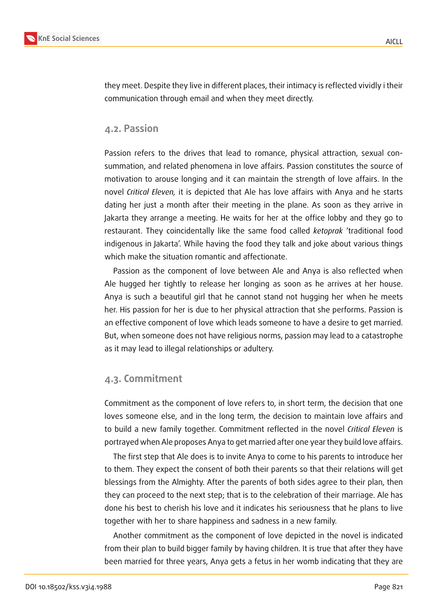

they meet. Despite they live in different places, their intimacy is reflected vividly i their communication through email and when they meet directly.

#### **4.2. Passion**

Passion refers to the drives that lead to romance, physical attraction, sexual consummation, and related phenomena in love affairs. Passion constitutes the source of motivation to arouse longing and it can maintain the strength of love affairs. In the novel *Critical Eleven,* it is depicted that Ale has love affairs with Anya and he starts dating her just a month after their meeting in the plane. As soon as they arrive in Jakarta they arrange a meeting. He waits for her at the office lobby and they go to restaurant. They coincidentally like the same food called *ketoprak* 'traditional food indigenous in Jakarta'. While having the food they talk and joke about various things which make the situation romantic and affectionate.

Passion as the component of love between Ale and Anya is also reflected when Ale hugged her tightly to release her longing as soon as he arrives at her house. Anya is such a beautiful girl that he cannot stand not hugging her when he meets her. His passion for her is due to her physical attraction that she performs. Passion is an effective component of love which leads someone to have a desire to get married. But, when someone does not have religious norms, passion may lead to a catastrophe as it may lead to illegal relationships or adultery.

#### **4.3. Commitment**

Commitment as the component of love refers to, in short term, the decision that one loves someone else, and in the long term, the decision to maintain love affairs and to build a new family together. Commitment reflected in the novel *Critical Eleven* is portrayed when Ale proposes Anya to get married after one year they build love affairs.

The first step that Ale does is to invite Anya to come to his parents to introduce her to them. They expect the consent of both their parents so that their relations will get blessings from the Almighty. After the parents of both sides agree to their plan, then they can proceed to the next step; that is to the celebration of their marriage. Ale has done his best to cherish his love and it indicates his seriousness that he plans to live together with her to share happiness and sadness in a new family.

Another commitment as the component of love depicted in the novel is indicated from their plan to build bigger family by having children. It is true that after they have been married for three years, Anya gets a fetus in her womb indicating that they are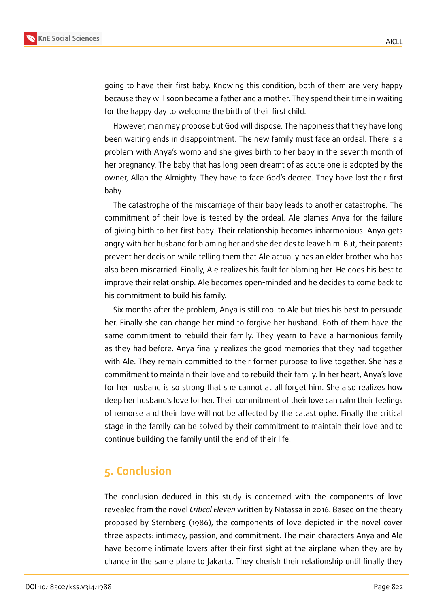

going to have their first baby. Knowing this condition, both of them are very happy because they will soon become a father and a mother. They spend their time in waiting for the happy day to welcome the birth of their first child.

However, man may propose but God will dispose. The happiness that they have long been waiting ends in disappointment. The new family must face an ordeal. There is a problem with Anya's womb and she gives birth to her baby in the seventh month of her pregnancy. The baby that has long been dreamt of as acute one is adopted by the owner, Allah the Almighty. They have to face God's decree. They have lost their first baby.

The catastrophe of the miscarriage of their baby leads to another catastrophe. The commitment of their love is tested by the ordeal. Ale blames Anya for the failure of giving birth to her first baby. Their relationship becomes inharmonious. Anya gets angry with her husband for blaming her and she decides to leave him. But, their parents prevent her decision while telling them that Ale actually has an elder brother who has also been miscarried. Finally, Ale realizes his fault for blaming her. He does his best to improve their relationship. Ale becomes open-minded and he decides to come back to his commitment to build his family.

Six months after the problem, Anya is still cool to Ale but tries his best to persuade her. Finally she can change her mind to forgive her husband. Both of them have the same commitment to rebuild their family. They yearn to have a harmonious family as they had before. Anya finally realizes the good memories that they had together with Ale. They remain committed to their former purpose to live together. She has a commitment to maintain their love and to rebuild their family. In her heart, Anya's love for her husband is so strong that she cannot at all forget him. She also realizes how deep her husband's love for her. Their commitment of their love can calm their feelings of remorse and their love will not be affected by the catastrophe. Finally the critical stage in the family can be solved by their commitment to maintain their love and to continue building the family until the end of their life.

## **5. Conclusion**

The conclusion deduced in this study is concerned with the components of love revealed from the novel *Critical Eleven* written by Natassa in 2016. Based on the theory proposed by Sternberg (1986), the components of love depicted in the novel cover three aspects: intimacy, passion, and commitment. The main characters Anya and Ale have become intimate lovers after their first sight at the airplane when they are by chance in the same plane to Jakarta. They cherish their relationship until finally they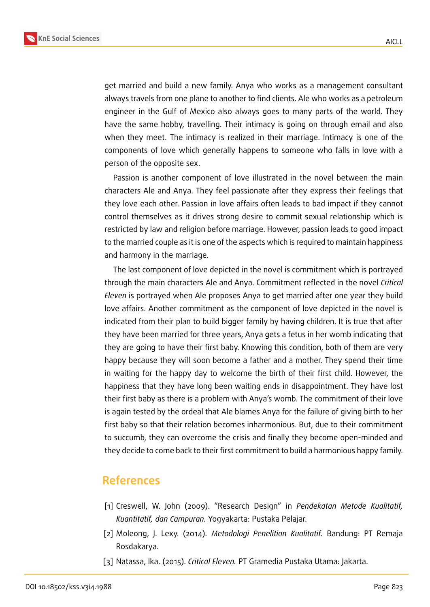

get married and build a new family. Anya who works as a management consultant always travels from one plane to another to find clients. Ale who works as a petroleum engineer in the Gulf of Mexico also always goes to many parts of the world. They have the same hobby, travelling. Their intimacy is going on through email and also when they meet. The intimacy is realized in their marriage. Intimacy is one of the components of love which generally happens to someone who falls in love with a person of the opposite sex.

Passion is another component of love illustrated in the novel between the main characters Ale and Anya. They feel passionate after they express their feelings that they love each other. Passion in love affairs often leads to bad impact if they cannot control themselves as it drives strong desire to commit sexual relationship which is restricted by law and religion before marriage. However, passion leads to good impact to the married couple as it is one of the aspects which is required to maintain happiness and harmony in the marriage.

The last component of love depicted in the novel is commitment which is portrayed through the main characters Ale and Anya. Commitment reflected in the novel *Critical Eleven* is portrayed when Ale proposes Anya to get married after one year they build love affairs. Another commitment as the component of love depicted in the novel is indicated from their plan to build bigger family by having children. It is true that after they have been married for three years, Anya gets a fetus in her womb indicating that they are going to have their first baby. Knowing this condition, both of them are very happy because they will soon become a father and a mother. They spend their time in waiting for the happy day to welcome the birth of their first child. However, the happiness that they have long been waiting ends in disappointment. They have lost their first baby as there is a problem with Anya's womb. The commitment of their love is again tested by the ordeal that Ale blames Anya for the failure of giving birth to her first baby so that their relation becomes inharmonious. But, due to their commitment to succumb, they can overcome the crisis and finally they become open-minded and they decide to come back to their first commitment to build a harmonious happy family.

## **References**

- [1] Creswell, W. John (2009). "Research Design" in *Pendekatan Metode Kualitatif, Kuantitatif, dan Campuran.* Yogyakarta: Pustaka Pelajar.
- [2] Moleong, J. Lexy. (2014)*. Metodologi Penelitian Kualitatif.* Bandung: PT Remaja Rosdakarya.
- [3] Natassa, Ika. (2015). *Critical Eleven.* PT Gramedia Pustaka Utama: Jakarta.